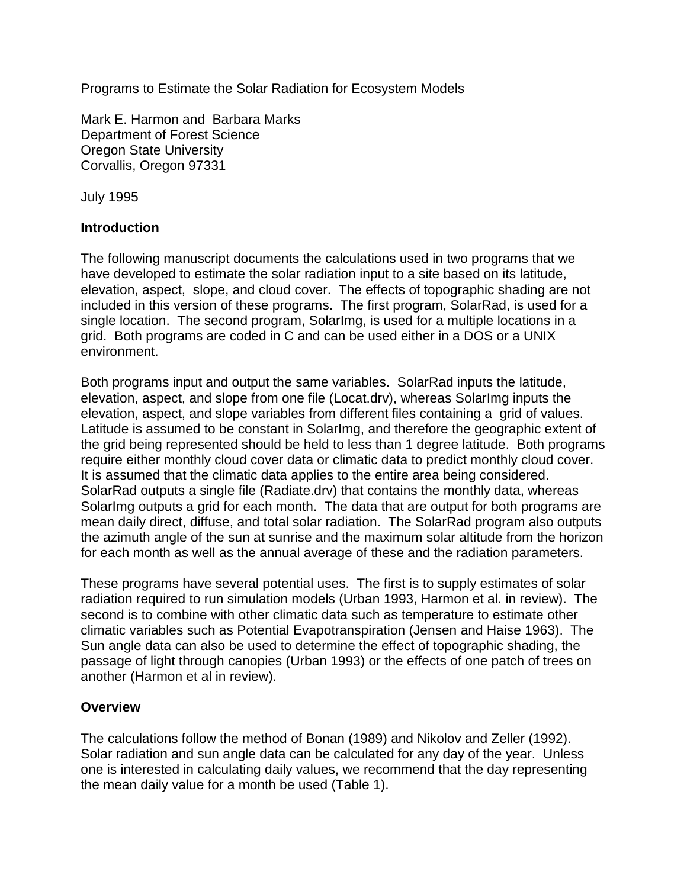Programs to Estimate the Solar Radiation for Ecosystem Models

Mark E. Harmon and Barbara Marks Department of Forest Science Oregon State University Corvallis, Oregon 97331

July 1995

## **Introduction**

The following manuscript documents the calculations used in two programs that we have developed to estimate the solar radiation input to a site based on its latitude, elevation, aspect, slope, and cloud cover. The effects of topographic shading are not included in this version of these programs. The first program, SolarRad, is used for a single location. The second program, SolarImg, is used for a multiple locations in a grid. Both programs are coded in C and can be used either in a DOS or a UNIX environment.

Both programs input and output the same variables. SolarRad inputs the latitude, elevation, aspect, and slope from one file (Locat.drv), whereas SolarImg inputs the elevation, aspect, and slope variables from different files containing a grid of values. Latitude is assumed to be constant in SolarImg, and therefore the geographic extent of the grid being represented should be held to less than 1 degree latitude. Both programs require either monthly cloud cover data or climatic data to predict monthly cloud cover. It is assumed that the climatic data applies to the entire area being considered. SolarRad outputs a single file (Radiate.drv) that contains the monthly data, whereas SolarImg outputs a grid for each month. The data that are output for both programs are mean daily direct, diffuse, and total solar radiation. The SolarRad program also outputs the azimuth angle of the sun at sunrise and the maximum solar altitude from the horizon for each month as well as the annual average of these and the radiation parameters.

These programs have several potential uses. The first is to supply estimates of solar radiation required to run simulation models (Urban 1993, Harmon et al. in review). The second is to combine with other climatic data such as temperature to estimate other climatic variables such as Potential Evapotranspiration (Jensen and Haise 1963). The Sun angle data can also be used to determine the effect of topographic shading, the passage of light through canopies (Urban 1993) or the effects of one patch of trees on another (Harmon et al in review).

## **Overview**

The calculations follow the method of Bonan (1989) and Nikolov and Zeller (1992). Solar radiation and sun angle data can be calculated for any day of the year. Unless one is interested in calculating daily values, we recommend that the day representing the mean daily value for a month be used (Table 1).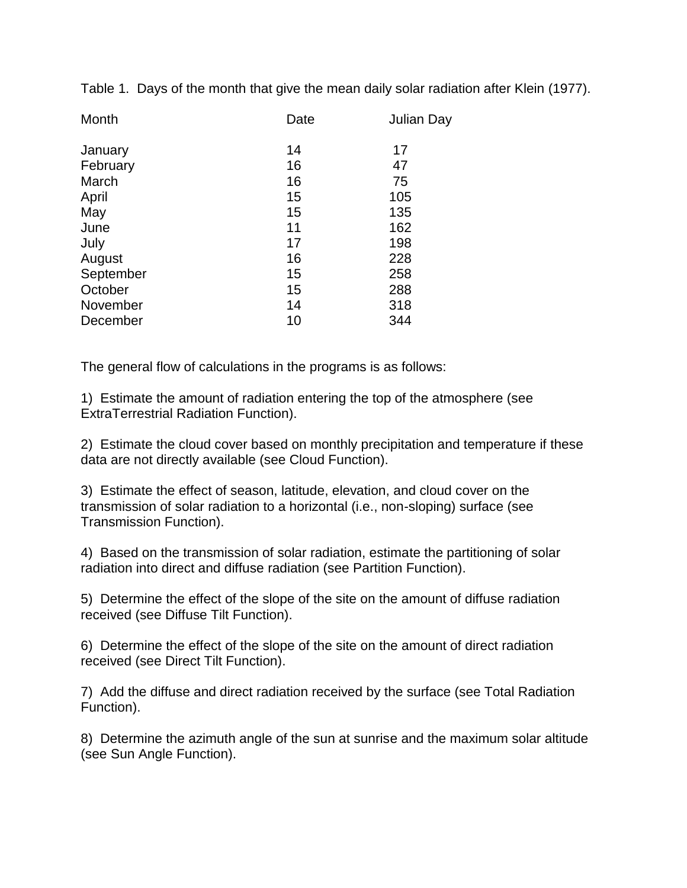Table 1. Days of the month that give the mean daily solar radiation after Klein (1977).

| Date | Julian Day |
|------|------------|
| 14   | 17         |
| 16   | 47         |
| 16   | 75         |
| 15   | 105        |
| 15   | 135        |
| 11   | 162        |
| 17   | 198        |
| 16   | 228        |
| 15   | 258        |
| 15   | 288        |
| 14   | 318        |
| 10   | 344        |
|      |            |

The general flow of calculations in the programs is as follows:

1) Estimate the amount of radiation entering the top of the atmosphere (see ExtraTerrestrial Radiation Function).

2) Estimate the cloud cover based on monthly precipitation and temperature if these data are not directly available (see Cloud Function).

3) Estimate the effect of season, latitude, elevation, and cloud cover on the transmission of solar radiation to a horizontal (i.e., non-sloping) surface (see Transmission Function).

4) Based on the transmission of solar radiation, estimate the partitioning of solar radiation into direct and diffuse radiation (see Partition Function).

5) Determine the effect of the slope of the site on the amount of diffuse radiation received (see Diffuse Tilt Function).

6) Determine the effect of the slope of the site on the amount of direct radiation received (see Direct Tilt Function).

7) Add the diffuse and direct radiation received by the surface (see Total Radiation Function).

8) Determine the azimuth angle of the sun at sunrise and the maximum solar altitude (see Sun Angle Function).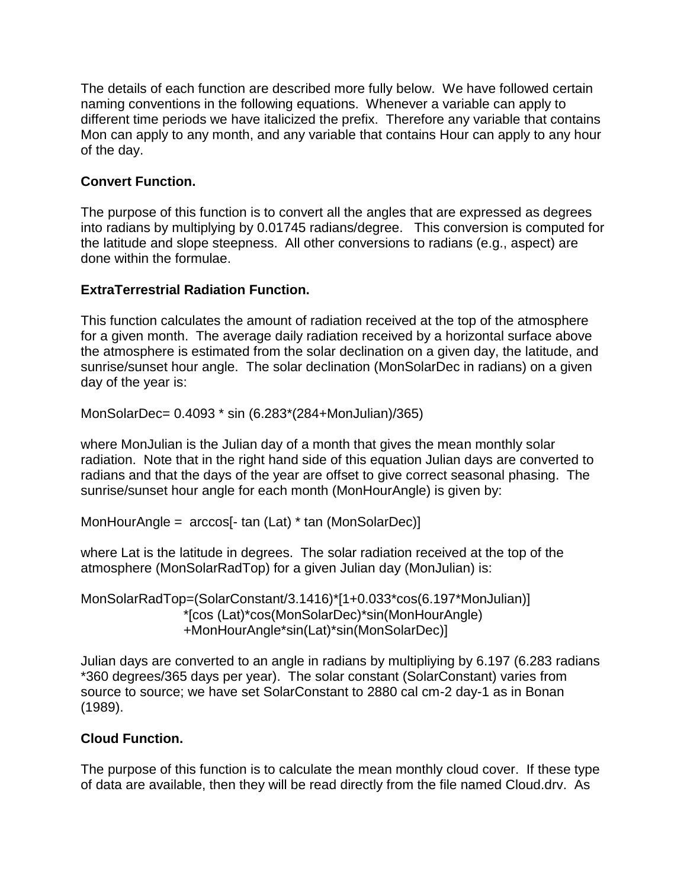The details of each function are described more fully below. We have followed certain naming conventions in the following equations. Whenever a variable can apply to different time periods we have italicized the prefix. Therefore any variable that contains Mon can apply to any month, and any variable that contains Hour can apply to any hour of the day.

# **Convert Function.**

The purpose of this function is to convert all the angles that are expressed as degrees into radians by multiplying by 0.01745 radians/degree. This conversion is computed for the latitude and slope steepness. All other conversions to radians (e.g., aspect) are done within the formulae.

## **ExtraTerrestrial Radiation Function.**

This function calculates the amount of radiation received at the top of the atmosphere for a given month. The average daily radiation received by a horizontal surface above the atmosphere is estimated from the solar declination on a given day, the latitude, and sunrise/sunset hour angle. The solar declination (MonSolarDec in radians) on a given day of the year is:

MonSolarDec= 0.4093 \* sin (6.283\*(284+MonJulian)/365)

where MonJulian is the Julian day of a month that gives the mean monthly solar radiation. Note that in the right hand side of this equation Julian days are converted to radians and that the days of the year are offset to give correct seasonal phasing. The sunrise/sunset hour angle for each month (MonHourAngle) is given by:

```
MonHourAngle = arccos[- tan (Lat) * tan (MonSolarDec)]
```
where Lat is the latitude in degrees. The solar radiation received at the top of the atmosphere (MonSolarRadTop) for a given Julian day (MonJulian) is:

MonSolarRadTop=(SolarConstant/3.1416)\*[1+0.033\*cos(6.197\*MonJulian)] \*[cos (Lat)\*cos(MonSolarDec)\*sin(MonHourAngle) +MonHourAngle\*sin(Lat)\*sin(MonSolarDec)]

Julian days are converted to an angle in radians by multipliying by 6.197 (6.283 radians \*360 degrees/365 days per year). The solar constant (SolarConstant) varies from source to source; we have set SolarConstant to 2880 cal cm-2 day-1 as in Bonan (1989).

# **Cloud Function.**

The purpose of this function is to calculate the mean monthly cloud cover. If these type of data are available, then they will be read directly from the file named Cloud.drv. As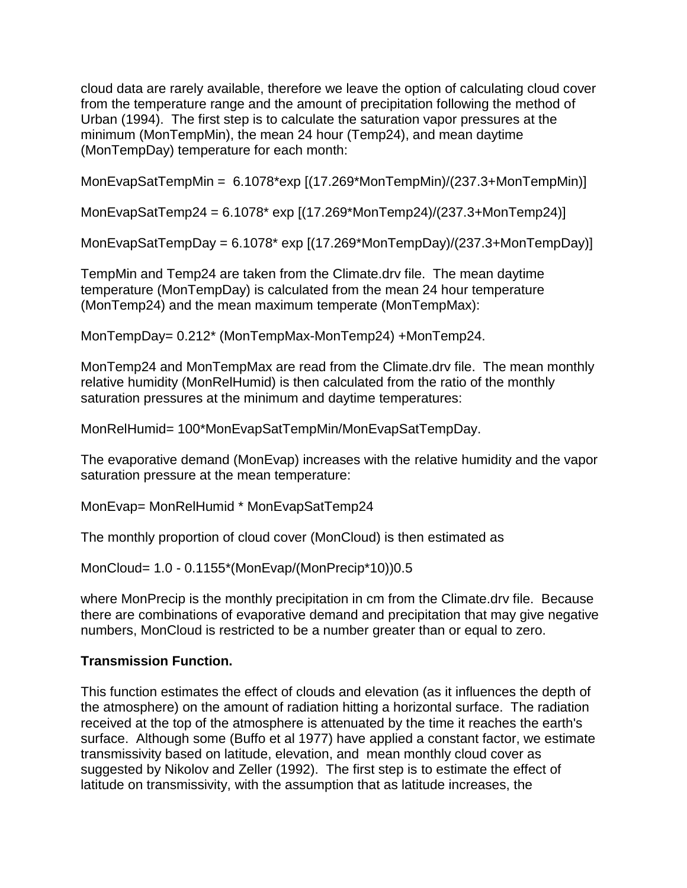cloud data are rarely available, therefore we leave the option of calculating cloud cover from the temperature range and the amount of precipitation following the method of Urban (1994). The first step is to calculate the saturation vapor pressures at the minimum (MonTempMin), the mean 24 hour (Temp24), and mean daytime (MonTempDay) temperature for each month:

MonEvapSatTempMin = 6.1078\*exp [(17.269\*MonTempMin)/(237.3+MonTempMin)]

MonEvapSatTemp24 = 6.1078\* exp [(17.269\*MonTemp24)/(237.3+MonTemp24)]

MonEvapSatTempDay = 6.1078\* exp [(17.269\*MonTempDay)/(237.3+MonTempDay)]

TempMin and Temp24 are taken from the Climate.drv file. The mean daytime temperature (MonTempDay) is calculated from the mean 24 hour temperature (MonTemp24) and the mean maximum temperate (MonTempMax):

MonTempDay= 0.212\* (MonTempMax-MonTemp24) +MonTemp24.

MonTemp24 and MonTempMax are read from the Climate.drv file. The mean monthly relative humidity (MonRelHumid) is then calculated from the ratio of the monthly saturation pressures at the minimum and daytime temperatures:

MonRelHumid= 100\*MonEvapSatTempMin/MonEvapSatTempDay.

The evaporative demand (MonEvap) increases with the relative humidity and the vapor saturation pressure at the mean temperature:

MonEvap= MonRelHumid \* MonEvapSatTemp24

The monthly proportion of cloud cover (MonCloud) is then estimated as

MonCloud= 1.0 - 0.1155\*(MonEvap/(MonPrecip\*10))0.5

where MonPrecip is the monthly precipitation in cm from the Climate.drv file. Because there are combinations of evaporative demand and precipitation that may give negative numbers, MonCloud is restricted to be a number greater than or equal to zero.

## **Transmission Function.**

This function estimates the effect of clouds and elevation (as it influences the depth of the atmosphere) on the amount of radiation hitting a horizontal surface. The radiation received at the top of the atmosphere is attenuated by the time it reaches the earth's surface. Although some (Buffo et al 1977) have applied a constant factor, we estimate transmissivity based on latitude, elevation, and mean monthly cloud cover as suggested by Nikolov and Zeller (1992). The first step is to estimate the effect of latitude on transmissivity, with the assumption that as latitude increases, the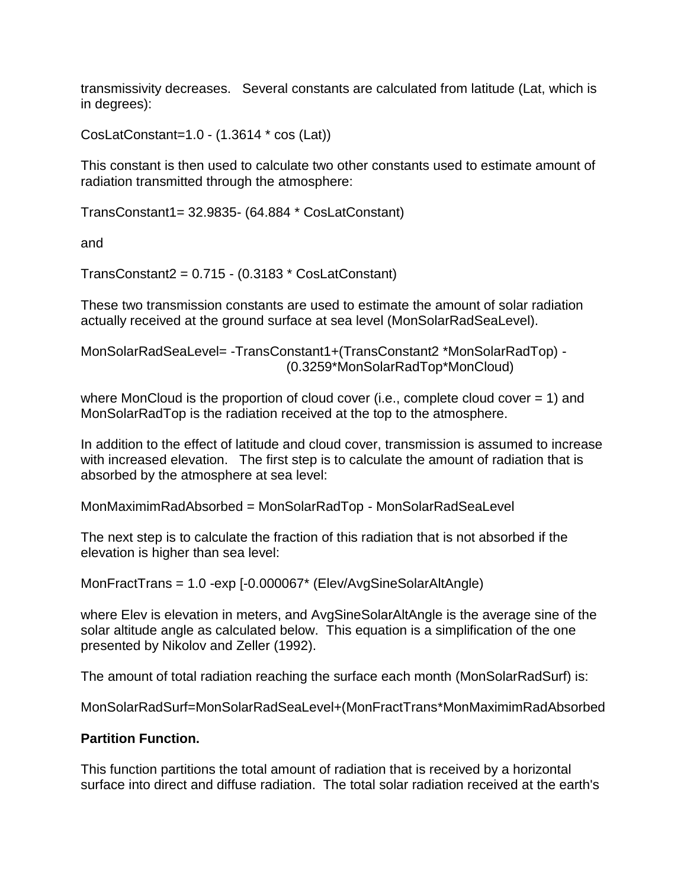transmissivity decreases. Several constants are calculated from latitude (Lat, which is in degrees):

CosLatConstant=1.0 - (1.3614 \* cos (Lat))

This constant is then used to calculate two other constants used to estimate amount of radiation transmitted through the atmosphere:

TransConstant1= 32.9835- (64.884 \* CosLatConstant)

and

TransConstant2 = 0.715 - (0.3183 \* CosLatConstant)

These two transmission constants are used to estimate the amount of solar radiation actually received at the ground surface at sea level (MonSolarRadSeaLevel).

MonSolarRadSeaLevel= -TransConstant1+(TransConstant2 \*MonSolarRadTop) - (0.3259\*MonSolarRadTop\*MonCloud)

where MonCloud is the proportion of cloud cover (i.e., complete cloud cover = 1) and MonSolarRadTop is the radiation received at the top to the atmosphere.

In addition to the effect of latitude and cloud cover, transmission is assumed to increase with increased elevation. The first step is to calculate the amount of radiation that is absorbed by the atmosphere at sea level:

MonMaximimRadAbsorbed = MonSolarRadTop - MonSolarRadSeaLevel

The next step is to calculate the fraction of this radiation that is not absorbed if the elevation is higher than sea level:

MonFractTrans = 1.0 -exp [-0.000067\* (Elev/AvgSineSolarAltAngle)

where Elev is elevation in meters, and AvgSineSolarAltAngle is the average sine of the solar altitude angle as calculated below. This equation is a simplification of the one presented by Nikolov and Zeller (1992).

The amount of total radiation reaching the surface each month (MonSolarRadSurf) is:

MonSolarRadSurf=MonSolarRadSeaLevel+(MonFractTrans\*MonMaximimRadAbsorbed

## **Partition Function.**

This function partitions the total amount of radiation that is received by a horizontal surface into direct and diffuse radiation. The total solar radiation received at the earth's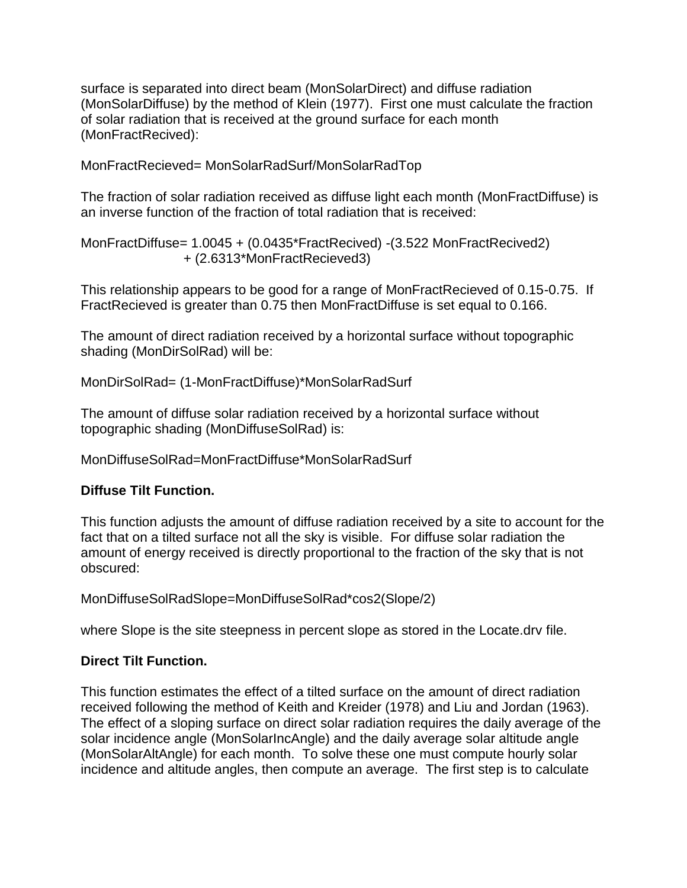surface is separated into direct beam (MonSolarDirect) and diffuse radiation (MonSolarDiffuse) by the method of Klein (1977). First one must calculate the fraction of solar radiation that is received at the ground surface for each month (MonFractRecived):

MonFractRecieved= MonSolarRadSurf/MonSolarRadTop

The fraction of solar radiation received as diffuse light each month (MonFractDiffuse) is an inverse function of the fraction of total radiation that is received:

MonFractDiffuse= 1.0045 + (0.0435\*FractRecived) -(3.522 MonFractRecived2) + (2.6313\*MonFractRecieved3)

This relationship appears to be good for a range of MonFractRecieved of 0.15-0.75. If FractRecieved is greater than 0.75 then MonFractDiffuse is set equal to 0.166.

The amount of direct radiation received by a horizontal surface without topographic shading (MonDirSolRad) will be:

MonDirSolRad= (1-MonFractDiffuse)\*MonSolarRadSurf

The amount of diffuse solar radiation received by a horizontal surface without topographic shading (MonDiffuseSolRad) is:

## MonDiffuseSolRad=MonFractDiffuse\*MonSolarRadSurf

## **Diffuse Tilt Function.**

This function adjusts the amount of diffuse radiation received by a site to account for the fact that on a tilted surface not all the sky is visible. For diffuse solar radiation the amount of energy received is directly proportional to the fraction of the sky that is not obscured:

MonDiffuseSolRadSlope=MonDiffuseSolRad\*cos2(Slope/2)

where Slope is the site steepness in percent slope as stored in the Locate.drv file.

## **Direct Tilt Function.**

This function estimates the effect of a tilted surface on the amount of direct radiation received following the method of Keith and Kreider (1978) and Liu and Jordan (1963). The effect of a sloping surface on direct solar radiation requires the daily average of the solar incidence angle (MonSolarIncAngle) and the daily average solar altitude angle (MonSolarAltAngle) for each month. To solve these one must compute hourly solar incidence and altitude angles, then compute an average. The first step is to calculate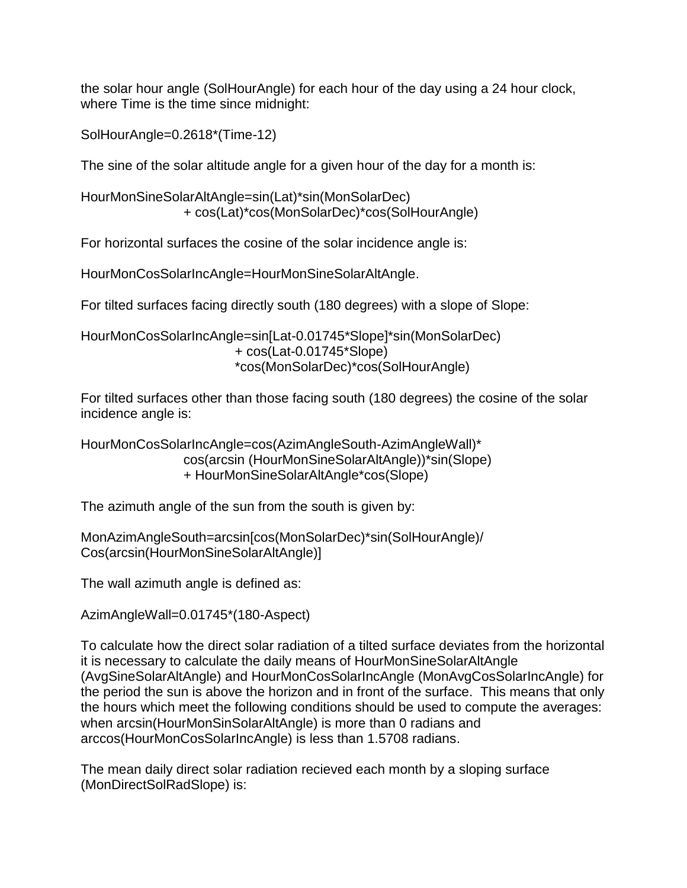the solar hour angle (SolHourAngle) for each hour of the day using a 24 hour clock, where Time is the time since midnight:

SolHourAngle=0.2618\*(Time-12)

The sine of the solar altitude angle for a given hour of the day for a month is:

HourMonSineSolarAltAngle=sin(Lat)\*sin(MonSolarDec) + cos(Lat)\*cos(MonSolarDec)\*cos(SolHourAngle)

For horizontal surfaces the cosine of the solar incidence angle is:

HourMonCosSolarIncAngle=HourMonSineSolarAltAngle.

For tilted surfaces facing directly south (180 degrees) with a slope of Slope:

HourMonCosSolarIncAngle=sin[Lat-0.01745\*Slope]\*sin(MonSolarDec) + cos(Lat-0.01745\*Slope) \*cos(MonSolarDec)\*cos(SolHourAngle)

For tilted surfaces other than those facing south (180 degrees) the cosine of the solar incidence angle is:

HourMonCosSolarIncAngle=cos(AzimAngleSouth-AzimAngleWall)\* cos(arcsin (HourMonSineSolarAltAngle))\*sin(Slope) + HourMonSineSolarAltAngle\*cos(Slope)

The azimuth angle of the sun from the south is given by:

MonAzimAngleSouth=arcsin[cos(MonSolarDec)\*sin(SolHourAngle)/ Cos(arcsin(HourMonSineSolarAltAngle)]

The wall azimuth angle is defined as:

AzimAngleWall=0.01745\*(180-Aspect)

To calculate how the direct solar radiation of a tilted surface deviates from the horizontal it is necessary to calculate the daily means of HourMonSineSolarAltAngle (AvgSineSolarAltAngle) and HourMonCosSolarIncAngle (MonAvgCosSolarIncAngle) for the period the sun is above the horizon and in front of the surface. This means that only the hours which meet the following conditions should be used to compute the averages: when arcsin(HourMonSinSolarAltAngle) is more than 0 radians and arccos(HourMonCosSolarIncAngle) is less than 1.5708 radians.

The mean daily direct solar radiation recieved each month by a sloping surface (MonDirectSolRadSlope) is: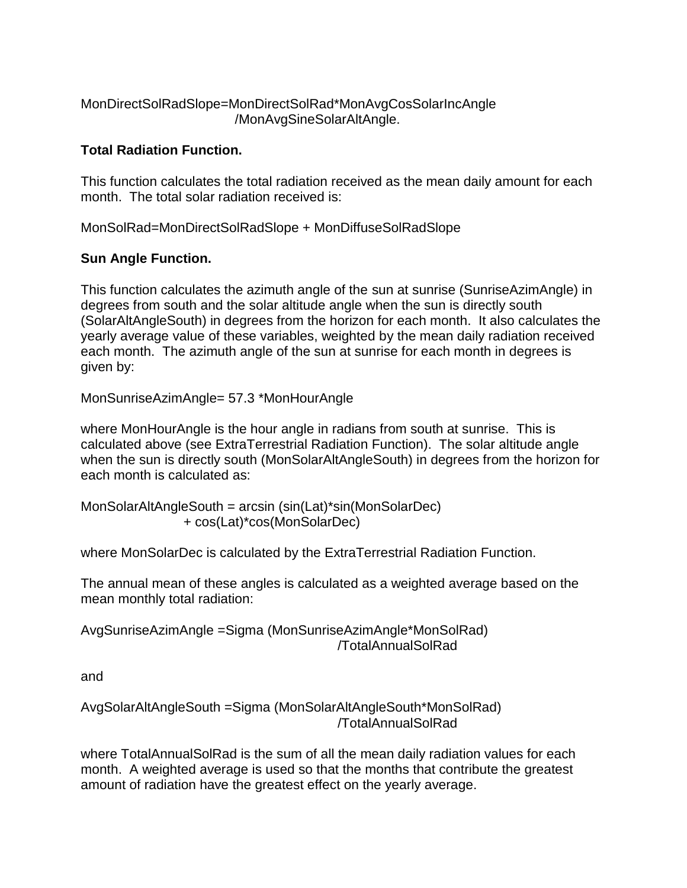## MonDirectSolRadSlope=MonDirectSolRad\*MonAvgCosSolarIncAngle /MonAvgSineSolarAltAngle.

# **Total Radiation Function.**

This function calculates the total radiation received as the mean daily amount for each month. The total solar radiation received is:

MonSolRad=MonDirectSolRadSlope + MonDiffuseSolRadSlope

# **Sun Angle Function.**

This function calculates the azimuth angle of the sun at sunrise (SunriseAzimAngle) in degrees from south and the solar altitude angle when the sun is directly south (SolarAltAngleSouth) in degrees from the horizon for each month. It also calculates the yearly average value of these variables, weighted by the mean daily radiation received each month. The azimuth angle of the sun at sunrise for each month in degrees is given by:

MonSunriseAzimAngle= 57.3 \*MonHourAngle

where MonHourAngle is the hour angle in radians from south at sunrise. This is calculated above (see ExtraTerrestrial Radiation Function). The solar altitude angle when the sun is directly south (MonSolarAltAngleSouth) in degrees from the horizon for each month is calculated as:

MonSolarAltAngleSouth = arcsin (sin(Lat)\*sin(MonSolarDec) + cos(Lat)\*cos(MonSolarDec)

where MonSolarDec is calculated by the ExtraTerrestrial Radiation Function.

The annual mean of these angles is calculated as a weighted average based on the mean monthly total radiation:

AvgSunriseAzimAngle =Sigma (MonSunriseAzimAngle\*MonSolRad) /TotalAnnualSolRad

and

AvgSolarAltAngleSouth =Sigma (MonSolarAltAngleSouth\*MonSolRad) /TotalAnnualSolRad

where TotalAnnualSolRad is the sum of all the mean daily radiation values for each month. A weighted average is used so that the months that contribute the greatest amount of radiation have the greatest effect on the yearly average.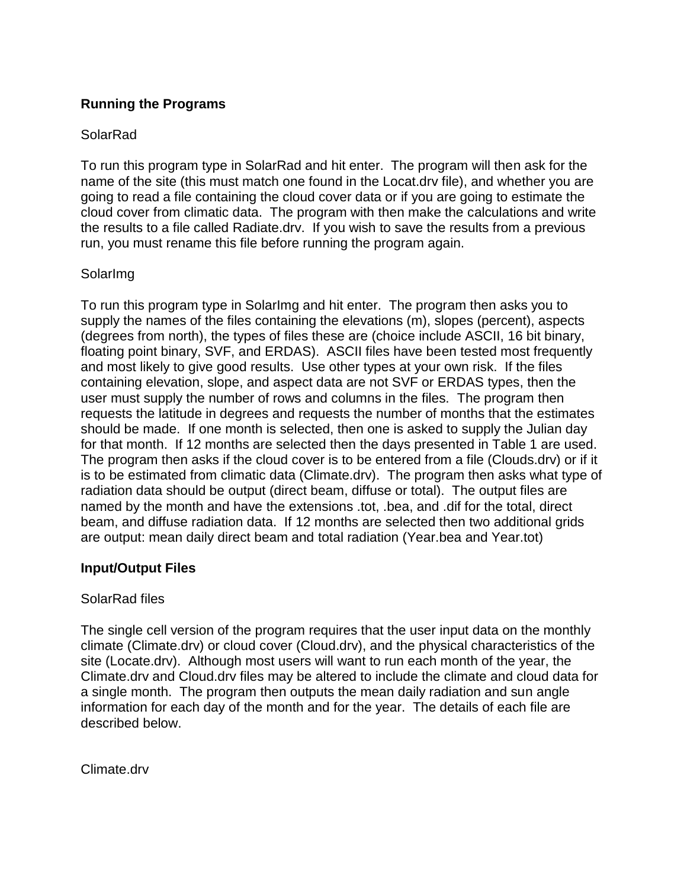## **Running the Programs**

## **SolarRad**

To run this program type in SolarRad and hit enter. The program will then ask for the name of the site (this must match one found in the Locat.drv file), and whether you are going to read a file containing the cloud cover data or if you are going to estimate the cloud cover from climatic data. The program with then make the calculations and write the results to a file called Radiate.drv. If you wish to save the results from a previous run, you must rename this file before running the program again.

## SolarImg

To run this program type in SolarImg and hit enter. The program then asks you to supply the names of the files containing the elevations (m), slopes (percent), aspects (degrees from north), the types of files these are (choice include ASCII, 16 bit binary, floating point binary, SVF, and ERDAS). ASCII files have been tested most frequently and most likely to give good results. Use other types at your own risk. If the files containing elevation, slope, and aspect data are not SVF or ERDAS types, then the user must supply the number of rows and columns in the files. The program then requests the latitude in degrees and requests the number of months that the estimates should be made. If one month is selected, then one is asked to supply the Julian day for that month. If 12 months are selected then the days presented in Table 1 are used. The program then asks if the cloud cover is to be entered from a file (Clouds.drv) or if it is to be estimated from climatic data (Climate.drv). The program then asks what type of radiation data should be output (direct beam, diffuse or total). The output files are named by the month and have the extensions .tot, .bea, and .dif for the total, direct beam, and diffuse radiation data. If 12 months are selected then two additional grids are output: mean daily direct beam and total radiation (Year.bea and Year.tot)

## **Input/Output Files**

## SolarRad files

The single cell version of the program requires that the user input data on the monthly climate (Climate.drv) or cloud cover (Cloud.drv), and the physical characteristics of the site (Locate.drv). Although most users will want to run each month of the year, the Climate.drv and Cloud.drv files may be altered to include the climate and cloud data for a single month. The program then outputs the mean daily radiation and sun angle information for each day of the month and for the year. The details of each file are described below.

Climate.drv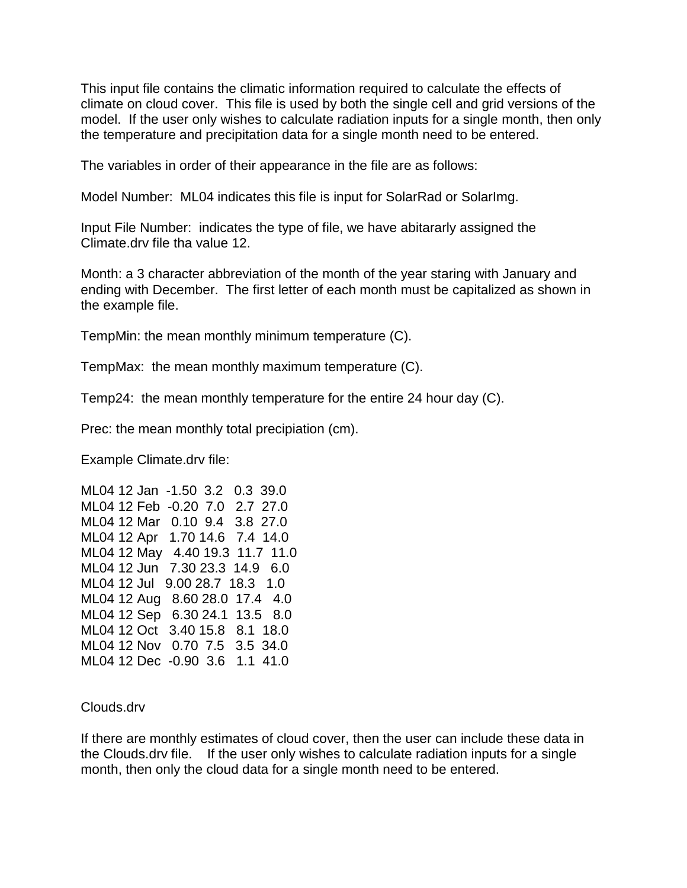This input file contains the climatic information required to calculate the effects of climate on cloud cover. This file is used by both the single cell and grid versions of the model. If the user only wishes to calculate radiation inputs for a single month, then only the temperature and precipitation data for a single month need to be entered.

The variables in order of their appearance in the file are as follows:

Model Number: ML04 indicates this file is input for SolarRad or SolarImg.

Input File Number: indicates the type of file, we have abitararly assigned the Climate.drv file tha value 12.

Month: a 3 character abbreviation of the month of the year staring with January and ending with December. The first letter of each month must be capitalized as shown in the example file.

TempMin: the mean monthly minimum temperature (C).

TempMax: the mean monthly maximum temperature (C).

Temp24: the mean monthly temperature for the entire 24 hour day (C).

Prec: the mean monthly total precipiation (cm).

Example Climate.drv file:

ML04 12 Jan -1.50 3.2 0.3 39.0 ML04 12 Feb -0.20 7.0 2.7 27.0 ML04 12 Mar 0.10 9.4 3.8 27.0 ML04 12 Apr 1.70 14.6 7.4 14.0 ML04 12 May 4.40 19.3 11.7 11.0 ML04 12 Jun 7.30 23.3 14.9 6.0 ML04 12 Jul 9.00 28.7 18.3 1.0 ML04 12 Aug 8.60 28.0 17.4 4.0 ML04 12 Sep 6.30 24.1 13.5 8.0 ML04 12 Oct 3.40 15.8 8.1 18.0 ML04 12 Nov 0.70 7.5 3.5 34.0 ML04 12 Dec -0.90 3.6 1.1 41.0

Clouds.drv

If there are monthly estimates of cloud cover, then the user can include these data in the Clouds.drv file. If the user only wishes to calculate radiation inputs for a single month, then only the cloud data for a single month need to be entered.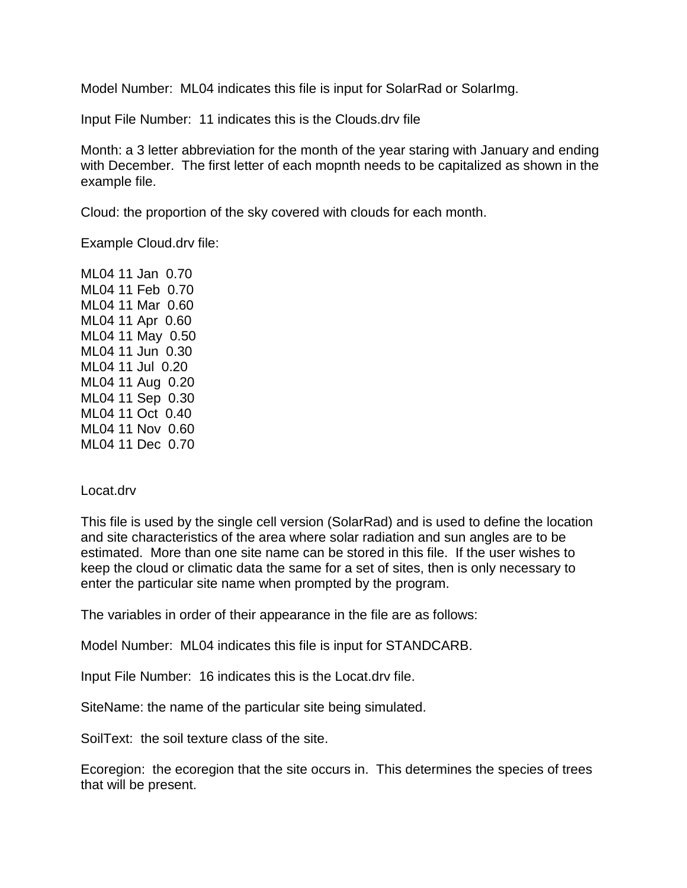Model Number: ML04 indicates this file is input for SolarRad or SolarImg.

Input File Number: 11 indicates this is the Clouds.drv file

Month: a 3 letter abbreviation for the month of the year staring with January and ending with December. The first letter of each mopnth needs to be capitalized as shown in the example file.

Cloud: the proportion of the sky covered with clouds for each month.

Example Cloud.drv file:

ML04 11 Jan 0.70 ML04 11 Feb 0.70 ML04 11 Mar 0.60 ML04 11 Apr 0.60 ML04 11 May 0.50 ML04 11 Jun 0.30 ML04 11 Jul 0.20 ML04 11 Aug 0.20 ML04 11 Sep 0.30 ML04 11 Oct 0.40 ML04 11 Nov 0.60 ML04 11 Dec 0.70

## Locat.drv

This file is used by the single cell version (SolarRad) and is used to define the location and site characteristics of the area where solar radiation and sun angles are to be estimated. More than one site name can be stored in this file. If the user wishes to keep the cloud or climatic data the same for a set of sites, then is only necessary to enter the particular site name when prompted by the program.

The variables in order of their appearance in the file are as follows:

Model Number: ML04 indicates this file is input for STANDCARB.

Input File Number: 16 indicates this is the Locat.drv file.

SiteName: the name of the particular site being simulated.

SoilText: the soil texture class of the site.

Ecoregion: the ecoregion that the site occurs in. This determines the species of trees that will be present.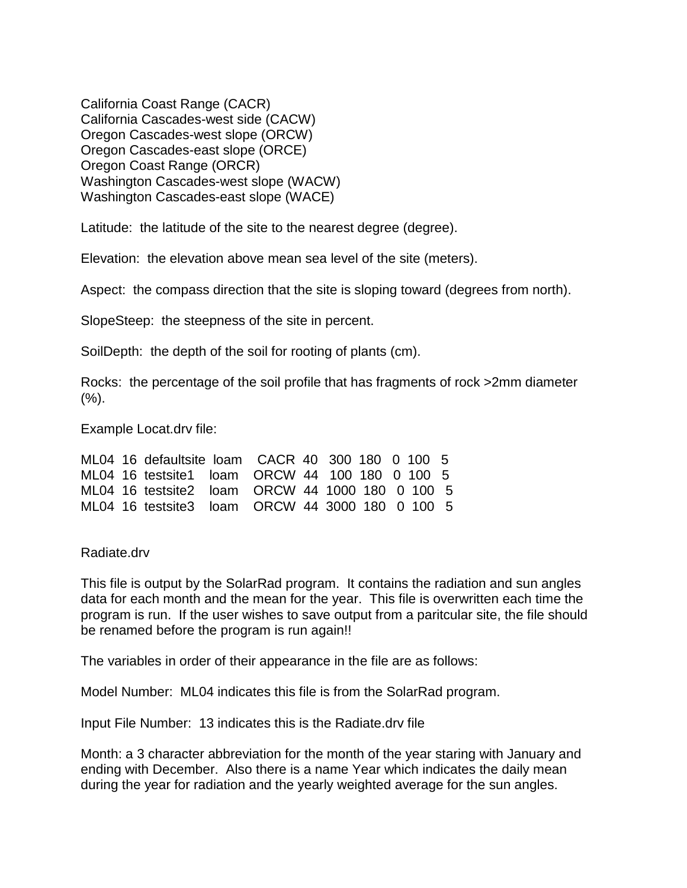California Coast Range (CACR) California Cascades-west side (CACW) Oregon Cascades-west slope (ORCW) Oregon Cascades-east slope (ORCE) Oregon Coast Range (ORCR) Washington Cascades-west slope (WACW) Washington Cascades-east slope (WACE)

Latitude: the latitude of the site to the nearest degree (degree).

Elevation: the elevation above mean sea level of the site (meters).

Aspect: the compass direction that the site is sloping toward (degrees from north).

SlopeSteep: the steepness of the site in percent.

SoilDepth: the depth of the soil for rooting of plants (cm).

Rocks: the percentage of the soil profile that has fragments of rock >2mm diameter  $(%).$ 

Example Locat.drv file:

|  | ML04 16 defaultsite loam CACR 40 300 180 0 100 5 |  |  |  |  |
|--|--------------------------------------------------|--|--|--|--|
|  | ML04 16 testsite1 loam ORCW 44 100 180 0 100 5   |  |  |  |  |
|  | ML04 16 testsite2 loam ORCW 44 1000 180 0 100 5  |  |  |  |  |
|  | ML04 16 testsite3 loam ORCW 44 3000 180 0 100 5  |  |  |  |  |

Radiate.drv

This file is output by the SolarRad program. It contains the radiation and sun angles data for each month and the mean for the year. This file is overwritten each time the program is run. If the user wishes to save output from a paritcular site, the file should be renamed before the program is run again!!

The variables in order of their appearance in the file are as follows:

Model Number: ML04 indicates this file is from the SolarRad program.

Input File Number: 13 indicates this is the Radiate.drv file

Month: a 3 character abbreviation for the month of the year staring with January and ending with December. Also there is a name Year which indicates the daily mean during the year for radiation and the yearly weighted average for the sun angles.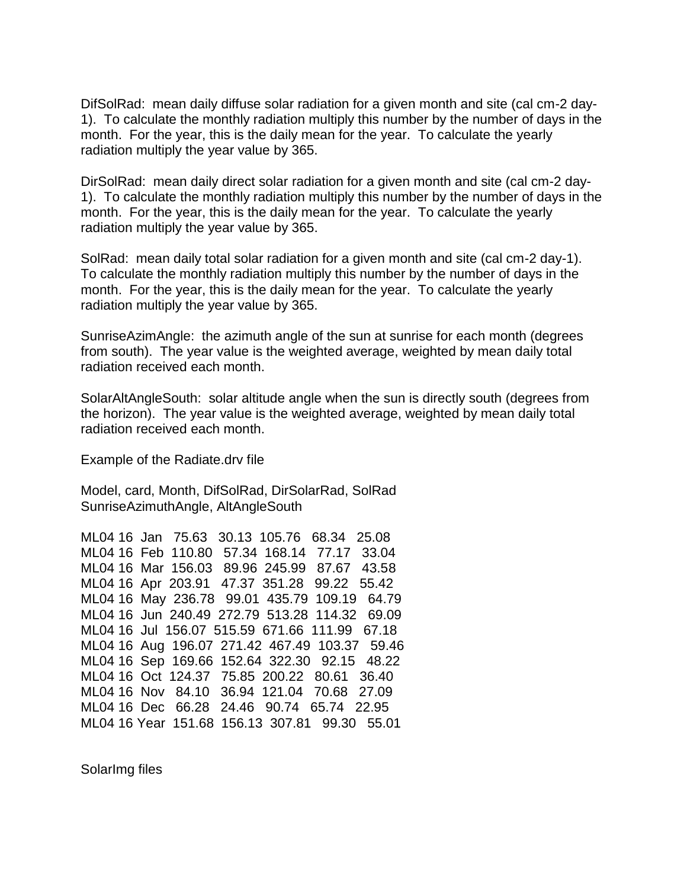DifSolRad: mean daily diffuse solar radiation for a given month and site (cal cm-2 day-1). To calculate the monthly radiation multiply this number by the number of days in the month. For the year, this is the daily mean for the year. To calculate the yearly radiation multiply the year value by 365.

DirSolRad: mean daily direct solar radiation for a given month and site (cal cm-2 day-1). To calculate the monthly radiation multiply this number by the number of days in the month. For the year, this is the daily mean for the year. To calculate the yearly radiation multiply the year value by 365.

SolRad: mean daily total solar radiation for a given month and site (cal cm-2 day-1). To calculate the monthly radiation multiply this number by the number of days in the month. For the year, this is the daily mean for the year. To calculate the yearly radiation multiply the year value by 365.

SunriseAzimAngle: the azimuth angle of the sun at sunrise for each month (degrees from south). The year value is the weighted average, weighted by mean daily total radiation received each month.

SolarAltAngleSouth: solar altitude angle when the sun is directly south (degrees from the horizon). The year value is the weighted average, weighted by mean daily total radiation received each month.

Example of the Radiate.drv file

Model, card, Month, DifSolRad, DirSolarRad, SolRad SunriseAzimuthAngle, AltAngleSouth

ML04 16 Jan 75.63 30.13 105.76 68.34 25.08 ML04 16 Feb 110.80 57.34 168.14 77.17 33.04 ML04 16 Mar 156.03 89.96 245.99 87.67 43.58 ML04 16 Apr 203.91 47.37 351.28 99.22 55.42 ML04 16 May 236.78 99.01 435.79 109.19 64.79 ML04 16 Jun 240.49 272.79 513.28 114.32 69.09 ML04 16 Jul 156.07 515.59 671.66 111.99 67.18 ML04 16 Aug 196.07 271.42 467.49 103.37 59.46 ML04 16 Sep 169.66 152.64 322.30 92.15 48.22 ML04 16 Oct 124.37 75.85 200.22 80.61 36.40 ML04 16 Nov 84.10 36.94 121.04 70.68 27.09 ML04 16 Dec 66.28 24.46 90.74 65.74 22.95 ML04 16 Year 151.68 156.13 307.81 99.30 55.01

SolarImg files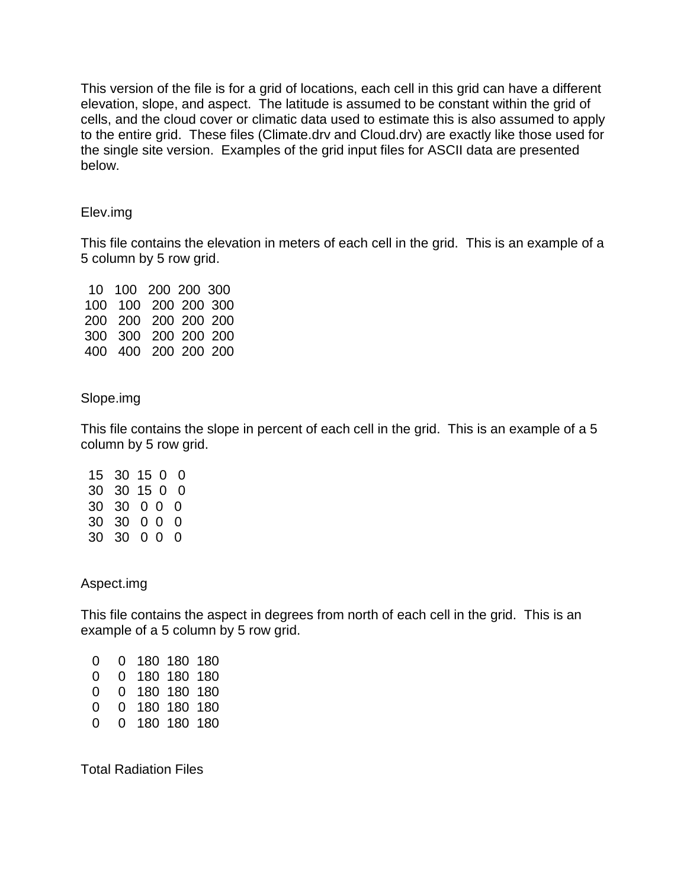This version of the file is for a grid of locations, each cell in this grid can have a different elevation, slope, and aspect. The latitude is assumed to be constant within the grid of cells, and the cloud cover or climatic data used to estimate this is also assumed to apply to the entire grid. These files (Climate.drv and Cloud.drv) are exactly like those used for the single site version. Examples of the grid input files for ASCII data are presented below.

### Elev.img

This file contains the elevation in meters of each cell in the grid. This is an example of a 5 column by 5 row grid.

 10 100 200 200 300 100 100 200 200 300 200 200 200 200 200 300 300 200 200 200 400 400 200 200 200

### Slope.img

This file contains the slope in percent of each cell in the grid. This is an example of a 5 column by 5 row grid.

 15 30 15 0 0 30 30 15 0 0 30 30 0 0 0 30 30 0 0 0 30 30 0 0 0

Aspect.img

This file contains the aspect in degrees from north of each cell in the grid. This is an example of a 5 column by 5 row grid.

| $\mathbf{0}$      | 0 180 180 180 |  |
|-------------------|---------------|--|
| 0                 | 0 180 180 180 |  |
| 0                 | 0 180 180 180 |  |
| $\mathbf{\Omega}$ | 0 180 180 180 |  |
| $\mathbf{0}$      | 0 180 180 180 |  |

Total Radiation Files